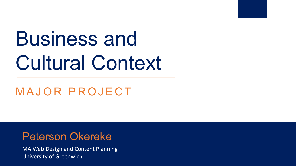# Business and Cultural Context

MAJOR PROJECT

#### Peterson Okereke

MA Web Design and Content Planning University of Greenwich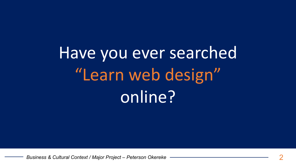Have you ever searched "Learn web design" online?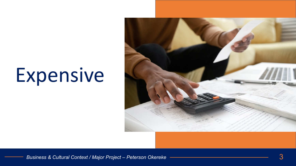# Expensive

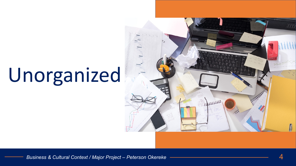# Unorganized

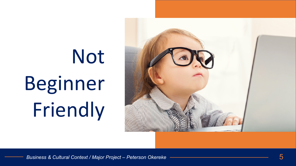# Not Beginner Friendly

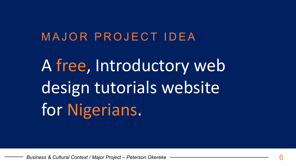### MAJOR PROJECT IDEA

A free, Introductory web design tutorials website for Nigerians.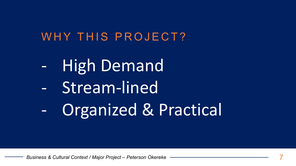### WHY THIS PROJECT?

- **High Demand**  $\frac{1}{2}$  ,  $\frac{1}{2}$
- Stream-lined  $\blacksquare$
- Organized & Practical ÷,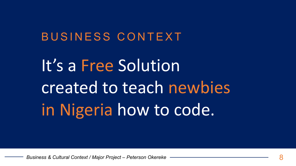It's a Free Solution created to teach newbies in Nigeria how to code.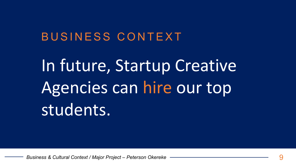In future, Startup Creative Agencies can hire our top students.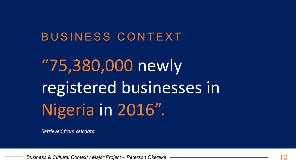"75,380,000 newly registered businesses in Nigeria in 2016".

Retrieved from ceicdata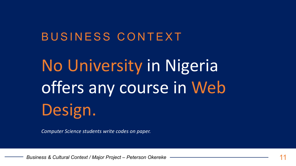No University in Nigeria offers any course in Web Design.

Computer Science students write codes on paper.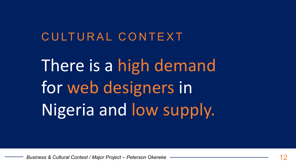### CULTURAL CONTEXT

There is a high demand for web designers in Nigeria and low supply.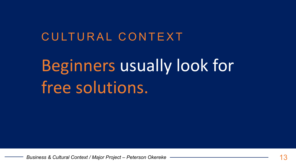### CULTURAL CONTEXT

### Beginners usually look for free solutions.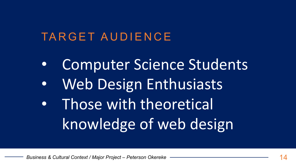### TARGET AUDIENCE

- **Computer Science Students**  $\bullet$
- **Web Design Enthusiasts**  $\bullet$
- Those with theoretical  $\bullet$ knowledge of web design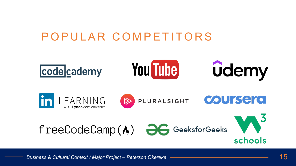### POPULAR COMPETITORS

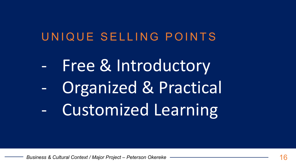### UNIQUE SELLING POINTS

Free & Introductory  $\frac{1}{2} \left( \frac{1}{2} \right)$ Organized & Practical  $\overline{\phantom{0}}$ **Customized Learning**  $\omega_{\rm{max}}$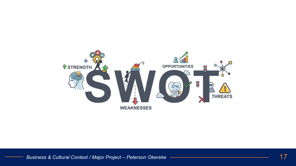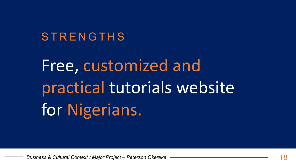#### STRENGTHS

# Free, customized and practical tutorials website for Nigerians.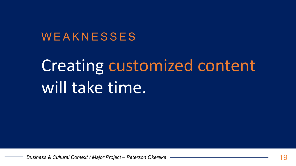#### WEAKNESSES

### **Creating customized content** will take time.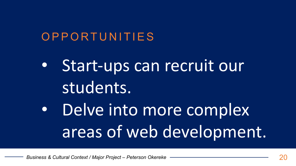### OPPORTUNITIES

Start-ups can recruit our students.

Delve into more complex areas of web development.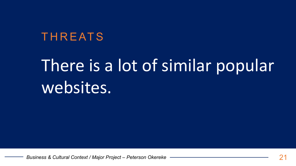### **THREATS**

### There is a lot of similar popular websites.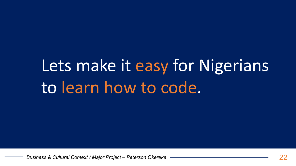### Lets make it easy for Nigerians to learn how to code.